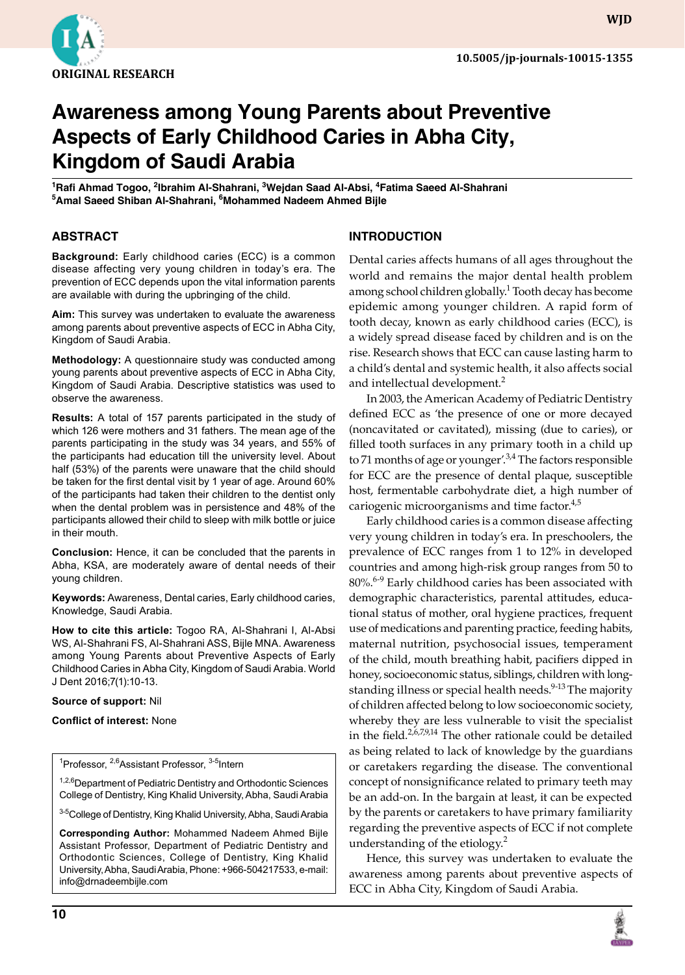

# **Awareness among Young Parents about Preventive Aspects of Early Childhood Caries in Abha City, Kingdom of Saudi Arabia**

**<sup>1</sup>Rafi Ahmad Togoo, <sup>2</sup> Ibrahim Al-Shahrani, 3Wejdan Saad Al-Absi, 4Fatima Saeed Al-Shahrani <sup>5</sup>Amal Saeed Shiban Al-Shahrani, 6Mohammed Nadeem Ahmed Bijle**

## **ABSTRACT**

**Background:** Early childhood caries (ECC) is a common disease affecting very young children in today's era. The prevention of ECC depends upon the vital information parents are available with during the upbringing of the child.

**Aim:** This survey was undertaken to evaluate the awareness among parents about preventive aspects of ECC in Abha City, Kingdom of Saudi Arabia.

**Methodology:** A questionnaire study was conducted among young parents about preventive aspects of ECC in Abha City, Kingdom of Saudi Arabia. Descriptive statistics was used to observe the awareness.

**Results:** A total of 157 parents participated in the study of which 126 were mothers and 31 fathers. The mean age of the parents participating in the study was 34 years, and 55% of the participants had education till the university level. About half (53%) of the parents were unaware that the child should be taken for the first dental visit by 1 year of age. Around 60% of the participants had taken their children to the dentist only when the dental problem was in persistence and 48% of the participants allowed their child to sleep with milk bottle or juice in their mouth.

**Conclusion:** Hence, it can be concluded that the parents in Abha, KSA, are moderately aware of dental needs of their young children.

**Keywords:** Awareness, Dental caries, Early childhood caries, Knowledge, Saudi Arabia.

**How to cite this article:** Togoo RA, Al-Shahrani I, Al-Absi WS, Al-Shahrani FS, Al-Shahrani ASS, Bijle MNA. Awareness among Young Parents about Preventive Aspects of Early Childhood Caries in Abha City, Kingdom of Saudi Arabia. World J Dent 2016;7(1):10-13.

#### **Source of support:** Nil

**Conflict of interest:** None

<sup>1</sup>Professor, <sup>2,6</sup>Assistant Professor, <sup>3-5</sup>Intern

<sup>1,2,6</sup>Department of Pediatric Dentistry and Orthodontic Sciences College of Dentistry, King Khalid University, Abha, Saudi Arabia

<sup>3-5</sup>College of Dentistry, King Khalid University, Abha, Saudi Arabia

**Corresponding Author:** Mohammed Nadeem Ahmed Bijle Assistant Professor, Department of Pediatric Dentistry and Orthodontic Sciences, College of Dentistry, King Khalid University, Abha, Saudi Arabia, Phone: +966-504217533, e-mail: info@drnadeembijle.com

## **INTRODUCTION**

Dental caries affects humans of all ages throughout the world and remains the major dental health problem among school children globally.<sup>1</sup> Tooth decay has become epidemic among younger children. A rapid form of tooth decay, known as early childhood caries (ECC), is a widely spread disease faced by children and is on the rise. Research shows that ECC can cause lasting harm to a child's dental and systemic health, it also affects social and intellectual development.<sup>2</sup>

In 2003, the American Academy of Pediatric Dentistry defined ECC as 'the presence of one or more decayed (noncavitated or cavitated), missing (due to caries), or filled tooth surfaces in any primary tooth in a child up to 71 months of age or younger'. $3,4$  The factors responsible for ECC are the presence of dental plaque, susceptible host, fermentable carbohydrate diet, a high number of cariogenic microorganisms and time factor.<sup>4,5</sup>

Early childhood caries is a common disease affecting very young children in today's era. In preschoolers, the prevalence of ECC ranges from 1 to 12% in developed countries and among high-risk group ranges from 50 to 80%.<sup>6-9</sup> Early childhood caries has been associated with demographic characteristics, parental attitudes, educational status of mother, oral hygiene practices, frequent use of medications and parenting practice, feeding habits, maternal nutrition, psychosocial issues, temperament of the child, mouth breathing habit, pacifiers dipped in honey, socioeconomic status, siblings, children with longstanding illness or special health needs.<sup>9-13</sup> The majority of children affected belong to low socioeconomic society, whereby they are less vulnerable to visit the specialist in the field.<sup>2,6,7,9,14</sup> The other rationale could be detailed as being related to lack of knowledge by the guardians or caretakers regarding the disease. The conventional concept of nonsignificance related to primary teeth may be an add-on. In the bargain at least, it can be expected by the parents or caretakers to have primary familiarity regarding the preventive aspects of ECC if not complete understanding of the etiology. $2^2$ 

Hence, this survey was undertaken to evaluate the awareness among parents about preventive aspects of ECC in Abha City, Kingdom of Saudi Arabia.

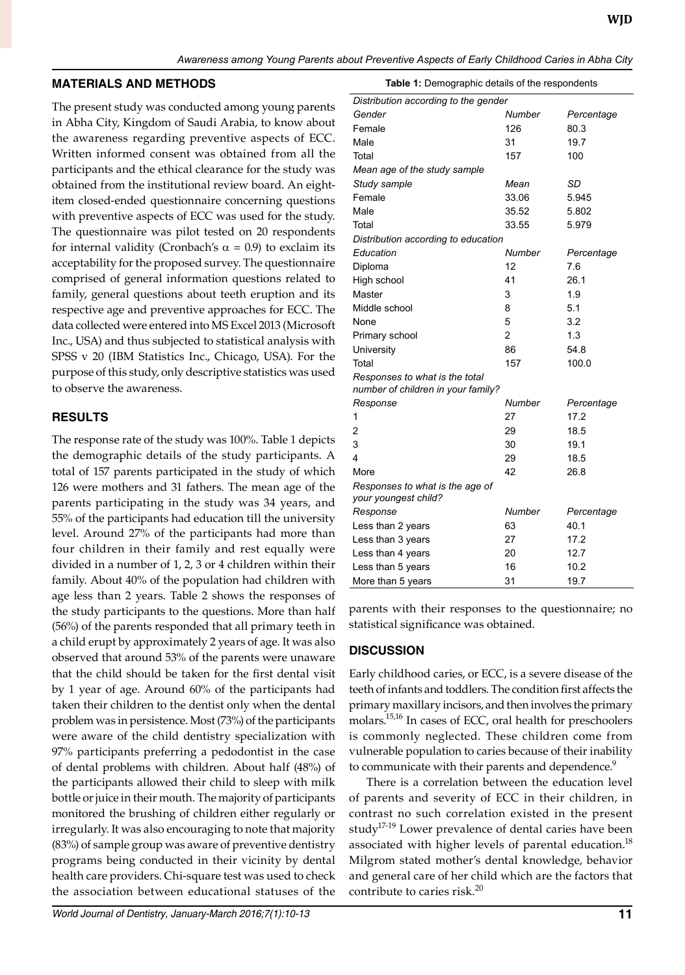### **MATERIALS AND METHODS**

The present study was conducted among young parents in Abha City, Kingdom of Saudi Arabia, to know about the awareness regarding preventive aspects of ECC. Written informed consent was obtained from all the participants and the ethical clearance for the study was obtained from the institutional review board. An eightitem closed-ended questionnaire concerning questions with preventive aspects of ECC was used for the study. The questionnaire was pilot tested on 20 respondents for internal validity (Cronbach's  $\alpha$  = 0.9) to exclaim its acceptability for the proposed survey. The questionnaire comprised of general information questions related to family, general questions about teeth eruption and its respective age and preventive approaches for ECC. The data collected were entered into MS Excel 2013 (Microsoft Inc., USA) and thus subjected to statistical analysis with SPSS v 20 (IBM Statistics Inc., Chicago, USA). For the purpose of this study, only descriptive statistics was used to observe the awareness.

## **RESULTS**

The response rate of the study was 100%. Table 1 depicts the demographic details of the study participants. A total of 157 parents participated in the study of which 126 were mothers and 31 fathers. The mean age of the parents participating in the study was 34 years, and 55% of the participants had education till the university level. Around 27% of the participants had more than four children in their family and rest equally were divided in a number of 1, 2, 3 or 4 children within their family. About 40% of the population had children with age less than 2 years. Table 2 shows the responses of the study participants to the questions. More than half (56%) of the parents responded that all primary teeth in a child erupt by approximately 2 years of age. It was also observed that around 53% of the parents were unaware that the child should be taken for the first dental visit by 1 year of age. Around 60% of the participants had taken their children to the dentist only when the dental problem was in persistence. Most (73%) of the participants were aware of the child dentistry specialization with 97% participants preferring a pedodontist in the case of dental problems with children. About half (48%) of the participants allowed their child to sleep with milk bottle or juice in their mouth. The majority of participants monitored the brushing of children either regularly or irregularly. It was also encouraging to note that majority (83%) of sample group was aware of preventive dentistry programs being conducted in their vicinity by dental health care providers. Chi-square test was used to check the association between educational statuses of the

| Distribution according to the gender |                |            |
|--------------------------------------|----------------|------------|
| Gender                               | Number         | Percentage |
| Female                               | 126            | 80.3       |
| Male                                 | 31             | 19.7       |
| Total                                | 157            | 100        |
| Mean age of the study sample         |                |            |
| Study sample                         | Mean           | SD         |
| Female                               | 33.06          | 5.945      |
| Male                                 | 35.52          | 5.802      |
| Total                                | 33.55          | 5.979      |
| Distribution according to education  |                |            |
| Education                            | Number         | Percentage |
| Diploma                              | 12             | 7.6        |
| High school                          | 41             | 26.1       |
| Master                               | 3              | 1.9        |
| Middle school                        | 8              | 5.1        |
| None                                 | 5              | 3.2        |
| Primary school                       | $\overline{2}$ | 1.3        |
| University                           | 86             | 54.8       |
| Total                                | 157            | 100.0      |
| Responses to what is the total       |                |            |
| number of children in your family?   |                |            |
| Response                             | Number         | Percentage |
| 1                                    | 27             | 17.2       |
| 2                                    | 29             | 18.5       |
| 3                                    | 30             | 19.1       |
| 4                                    | 29             | 18.5       |
| More                                 | 42             | 26.8       |
| Responses to what is the age of      |                |            |
| your youngest child?                 |                |            |
| Response                             | Number         | Percentage |
| Less than 2 years                    | 63             | 40.1       |
| Less than 3 years                    | 27             | 17.2       |
| Less than 4 years                    | 20             | 12.7       |
| Less than 5 years                    | 16             | 10.2       |
| More than 5 years                    | 31             | 19.7       |

**Table 1:** Demographic details of the respondents

parents with their responses to the questionnaire; no statistical significance was obtained.

## **DISCUSSION**

Early childhood caries, or ECC, is a severe disease of the teeth of infants and toddlers. The condition first affects the primary maxillary incisors, and then involves the primary molars.15,16 In cases of ECC, oral health for preschoolers is commonly neglected. These children come from vulnerable population to caries because of their inability to communicate with their parents and dependence.<sup>9</sup>

There is a correlation between the education level of parents and severity of ECC in their children, in contrast no such correlation existed in the present study<sup>17-19</sup> Lower prevalence of dental caries have been associated with higher levels of parental education.<sup>18</sup> Milgrom stated mother's dental knowledge, behavior and general care of her child which are the factors that contribute to caries risk.<sup>20</sup>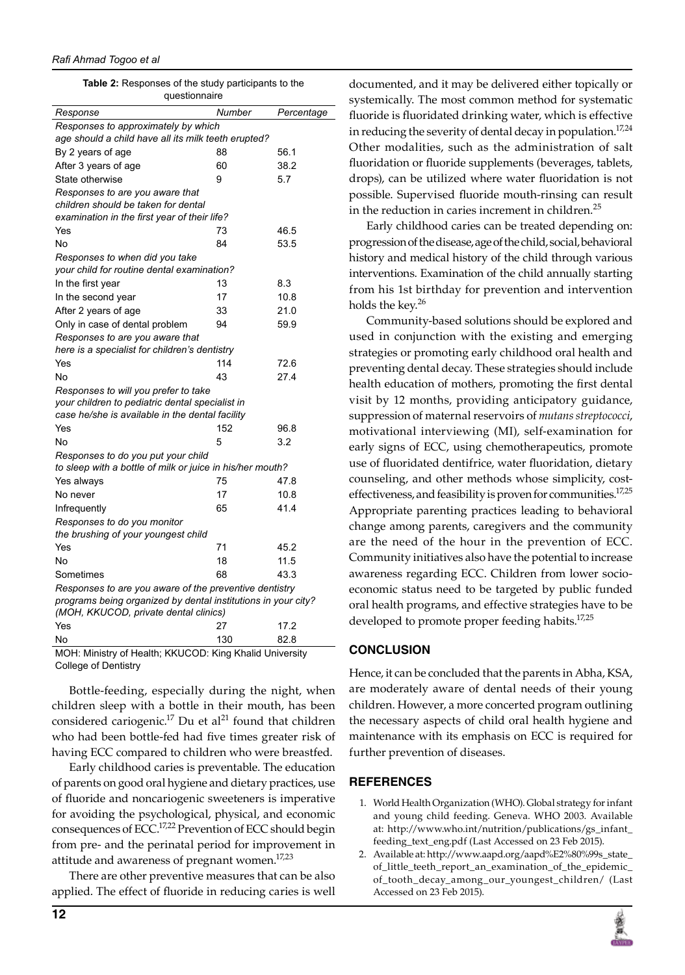**Table 2:** Responses of the study participants to the questionnaire

| guconomiano                                                   |        |            |  |
|---------------------------------------------------------------|--------|------------|--|
| Response                                                      | Number | Percentage |  |
| Responses to approximately by which                           |        |            |  |
| age should a child have all its milk teeth erupted?           |        |            |  |
| By 2 years of age                                             | 88     | 56.1       |  |
| After 3 years of age                                          | 60     | 38.2       |  |
| State otherwise                                               | 9      | 5.7        |  |
| Responses to are you aware that                               |        |            |  |
| children should be taken for dental                           |        |            |  |
| examination in the first year of their life?                  |        |            |  |
| Yes                                                           | 73     | 46.5       |  |
| No                                                            | 84     | 53.5       |  |
| Responses to when did you take                                |        |            |  |
| your child for routine dental examination?                    |        |            |  |
| In the first year                                             | 13     | 8.3        |  |
| In the second year                                            | 17     | 10.8       |  |
| After 2 years of age                                          | 33     | 21.0       |  |
| Only in case of dental problem                                | 94     | 59.9       |  |
| Responses to are you aware that                               |        |            |  |
| here is a specialist for children's dentistry                 |        |            |  |
| Yes                                                           | 114    | 72.6       |  |
| No                                                            | 43     | 27.4       |  |
| Responses to will you prefer to take                          |        |            |  |
| your children to pediatric dental specialist in               |        |            |  |
| case he/she is available in the dental facility               |        |            |  |
| Yes                                                           | 152    | 96.8       |  |
| No                                                            | 5      | 3.2        |  |
| Responses to do you put your child                            |        |            |  |
| to sleep with a bottle of milk or juice in his/her mouth?     |        |            |  |
| Yes always                                                    | 75     | 47.8       |  |
| No never                                                      | 17     | 10.8       |  |
| Infrequently                                                  | 65     | 41.4       |  |
| Responses to do you monitor                                   |        |            |  |
| the brushing of your youngest child                           |        |            |  |
| Yes                                                           | 71     | 45.2       |  |
| No                                                            | 18     | 11.5       |  |
| Sometimes                                                     | 68     | 43.3       |  |
| Responses to are you aware of the preventive dentistry        |        |            |  |
| programs being organized by dental institutions in your city? |        |            |  |
| (MOH, KKUCOD, private dental clinics)                         |        |            |  |
| Yes                                                           | 27     | 17.2       |  |
| No                                                            | 130    | 82.8       |  |

MOH: Ministry of Health; KKUCOD: King Khalid University College of Dentistry

Bottle-feeding, especially during the night, when children sleep with a bottle in their mouth, has been considered cariogenic.<sup>17</sup> Du et al<sup>21</sup> found that children who had been bottle-fed had five times greater risk of having ECC compared to children who were breastfed.

Early childhood caries is preventable. The education of parents on good oral hygiene and dietary practices, use of fluoride and noncariogenic sweeteners is imperative for avoiding the psychological, physical, and economic consequences of ECC.<sup>17,22</sup> Prevention of ECC should begin from pre- and the perinatal period for improvement in attitude and awareness of pregnant women.<sup>17,23</sup>

There are other preventive measures that can be also applied. The effect of fluoride in reducing caries is well

documented, and it may be delivered either topically or systemically. The most common method for systematic fluoride is fluoridated drinking water, which is effective in reducing the severity of dental decay in population.<sup>17,24</sup> Other modalities, such as the administration of salt fluoridation or fluoride supplements (beverages, tablets, drops), can be utilized where water fluoridation is not possible. Supervised fluoride mouth-rinsing can result in the reduction in caries increment in children.<sup>25</sup>

Early childhood caries can be treated depending on: progression of the disease, age of the child, social, behavioral history and medical history of the child through various interventions. Examination of the child annually starting from his 1st birthday for prevention and intervention holds the key. $26$ 

Community-based solutions should be explored and used in conjunction with the existing and emerging strategies or promoting early childhood oral health and preventing dental decay. These strategies should include health education of mothers, promoting the first dental visit by 12 months, providing anticipatory guidance, suppression of maternal reservoirs of *mutans streptococci*, motivational interviewing (MI), self-examination for early signs of ECC, using chemotherapeutics, promote use of fluoridated dentifrice, water fluoridation, dietary counseling, and other methods whose simplicity, costeffectiveness, and feasibility is proven for communities.<sup>17,25</sup> Appropriate parenting practices leading to behavioral change among parents, caregivers and the community are the need of the hour in the prevention of ECC. Community initiatives also have the potential to increase awareness regarding ECC. Children from lower socioeconomic status need to be targeted by public funded oral health programs, and effective strategies have to be developed to promote proper feeding habits.<sup>17,25</sup>

## **CONCLUSION**

Hence, it can be concluded that the parents in Abha, KSA, are moderately aware of dental needs of their young children. However, a more concerted program outlining the necessary aspects of child oral health hygiene and maintenance with its emphasis on ECC is required for further prevention of diseases.

## **REFERENCES**

- 1. World Health Organization (WHO). Global strategy for infant and young child feeding. Geneva. WHO 2003. Available at: http://www.who.int/nutrition/publications/gs\_infant\_ feeding\_text\_eng.pdf (Last Accessed on 23 Feb 2015).
- 2. Available at: http://www.aapd.org/aapd%E2%80%99s\_state\_ of\_little\_teeth\_report\_an\_examination\_of\_the\_epidemic\_ of\_tooth\_decay\_among\_our\_youngest\_children/ (Last Accessed on 23 Feb 2015).